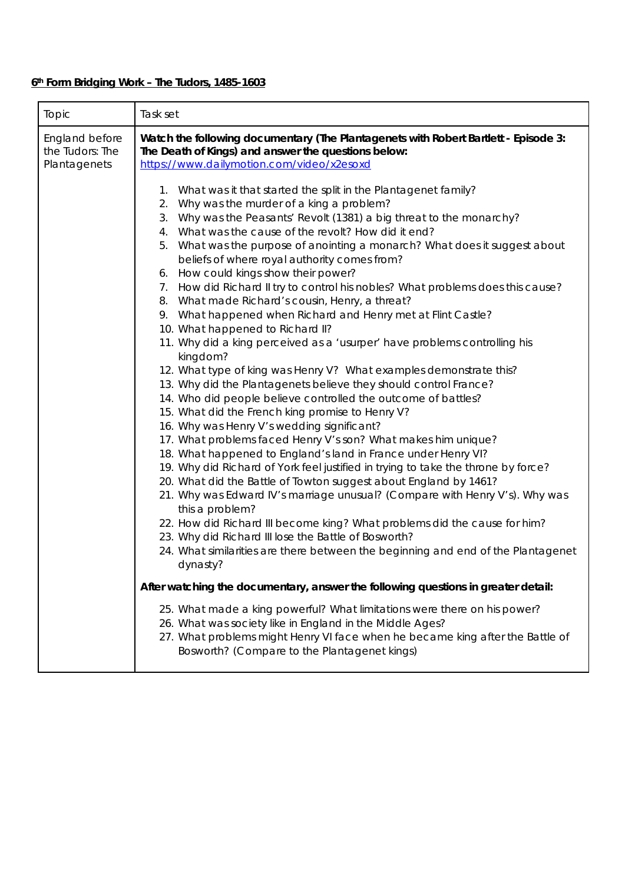## **6th Form Bridging Work – The Tudors, 1485-1603**

| England before                  |                                                                                                                                                                                                                                                                                                                                                                                                                                                                                                                                                                                                                                                                                                                                                                                                                                                                                                                                                                                                                                                                                                                                                                                                                                                                                                                                                                                                                                                                                                                                                                                                                                                                                                                                                                                                                                                                                                                                                                                                                                                                      |
|---------------------------------|----------------------------------------------------------------------------------------------------------------------------------------------------------------------------------------------------------------------------------------------------------------------------------------------------------------------------------------------------------------------------------------------------------------------------------------------------------------------------------------------------------------------------------------------------------------------------------------------------------------------------------------------------------------------------------------------------------------------------------------------------------------------------------------------------------------------------------------------------------------------------------------------------------------------------------------------------------------------------------------------------------------------------------------------------------------------------------------------------------------------------------------------------------------------------------------------------------------------------------------------------------------------------------------------------------------------------------------------------------------------------------------------------------------------------------------------------------------------------------------------------------------------------------------------------------------------------------------------------------------------------------------------------------------------------------------------------------------------------------------------------------------------------------------------------------------------------------------------------------------------------------------------------------------------------------------------------------------------------------------------------------------------------------------------------------------------|
| the Tudors: The<br>Plantagenets | Watch the following documentary (The Plantagenets with Robert Bartlett - Episode 3:<br>The Death of Kings) and answer the questions below:<br>https://www.dailymotion.com/video/x2esoxd                                                                                                                                                                                                                                                                                                                                                                                                                                                                                                                                                                                                                                                                                                                                                                                                                                                                                                                                                                                                                                                                                                                                                                                                                                                                                                                                                                                                                                                                                                                                                                                                                                                                                                                                                                                                                                                                              |
|                                 | 1. What was it that started the split in the Plantagenet family?<br>2. Why was the murder of a king a problem?<br>3. Why was the Peasants' Revolt (1381) a big threat to the monarchy?<br>4. What was the cause of the revolt? How did it end?<br>5. What was the purpose of anointing a monarch? What does it suggest about<br>beliefs of where royal authority comes from?<br>6. How could kings show their power?<br>7. How did Richard II try to control his nobles? What problems does this cause?<br>8. What made Richard's cousin, Henry, a threat?<br>9. What happened when Richard and Henry met at Flint Castle?<br>10. What happened to Richard II?<br>11. Why did a king perceived as a 'usurper' have problems controlling his<br>kingdom?<br>12. What type of king was Henry V? What examples demonstrate this?<br>13. Why did the Plantagenets believe they should control France?<br>14. Who did people believe controlled the outcome of battles?<br>15. What did the French king promise to Henry V?<br>16. Why was Henry V's wedding significant?<br>17. What problems faced Henry V's son? What makes him unique?<br>18. What happened to England's land in France under Henry VI?<br>19. Why did Richard of York feel justified in trying to take the throne by force?<br>20. What did the Battle of Towton suggest about England by 1461?<br>21. Why was Edward IV's marriage unusual? (Compare with Henry V's). Why was<br>this a problem?<br>22. How did Richard III become king? What problems did the cause for him?<br>23. Why did Richard III lose the Battle of Bosworth?<br>24. What similarities are there between the beginning and end of the Plantagenet<br>dynasty?<br>After watching the documentary, answer the following questions in greater detail:<br>25. What made a king powerful? What limitations were there on his power?<br>26. What was society like in England in the Middle Ages?<br>27. What problems might Henry VI face when he became king after the Battle of<br>Bosworth? (Compare to the Plantagenet kings) |